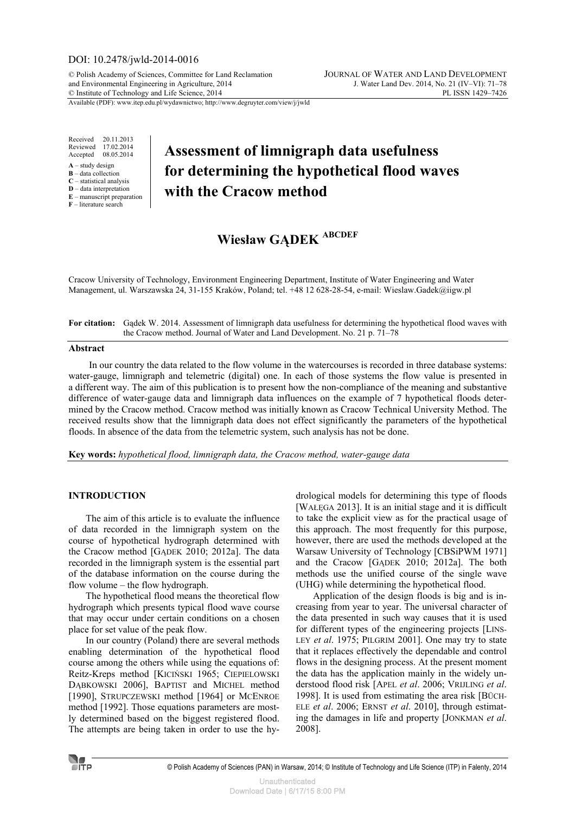## DOI: 10.2478/jwld-2014-0016

© Polish Academy of Sciences, Committee for Land Reclamation JOURNAL OF WATER AND LAND DEVELOPMENT and Environmental Engineering in Agriculture, 2014 J. Water Land Dev. 2014, No. 21 (IV–VI): 71–78<br>
© Institute of Technology and Life Science, 2014 © Institute of Technology and Life Science, 2014

Available (PDF): www.itep.edu.pl/wydawnictwo; http://www.degruyter.com/view/j/jwld

Received 20.11.2013<br>Reviewed 17.02.2014 17.02.2014 Accepted 08.05.2014

- **A** study design
- **B** data collection **C** – statistical analysis
- **D** data interpretation
- **E** manuscript preparation

#### **F** – literature search

## **Assessment of limnigraph data usefulness for determining the hypothetical flood waves with the Cracow method**

# **Wiesław GĄDEK ABCDEF**

Cracow University of Technology, Environment Engineering Department, Institute of Water Engineering and Water Management, ul. Warszawska 24, 31-155 Kraków, Poland; tel. +48 12 628-28-54, e-mail: Wieslaw.Gadek@iigw.pl

| For citation: Gadek W. 2014. Assessment of limnigraph data usefulness for determining the hypothetical flood waves with |
|-------------------------------------------------------------------------------------------------------------------------|
| the Cracow method. Journal of Water and Land Development. No. 21 p. 71–78                                               |

#### **Abstract**

In our country the data related to the flow volume in the watercourses is recorded in three database systems: water-gauge, limnigraph and telemetric (digital) one. In each of those systems the flow value is presented in a different way. The aim of this publication is to present how the non-compliance of the meaning and substantive difference of water-gauge data and limnigraph data influences on the example of 7 hypothetical floods determined by the Cracow method. Cracow method was initially known as Cracow Technical University Method. The received results show that the limnigraph data does not effect significantly the parameters of the hypothetical floods. In absence of the data from the telemetric system, such analysis has not be done.

**Key words:** *hypothetical flood, limnigraph data, the Cracow method, water-gauge data* 

## **INTRODUCTION**

The aim of this article is to evaluate the influence of data recorded in the limnigraph system on the course of hypothetical hydrograph determined with the Cracow method [GĄDEK 2010; 2012a]. The data recorded in the limnigraph system is the essential part of the database information on the course during the flow volume – the flow hydrograph.

The hypothetical flood means the theoretical flow hydrograph which presents typical flood wave course that may occur under certain conditions on a chosen place for set value of the peak flow.

In our country (Poland) there are several methods enabling determination of the hypothetical flood course among the others while using the equations of: Reitz-Kreps method [KICIŃSKI 1965; CIEPIELOWSKI DĄBKOWSKI 2006], BAPTIST and MICHEL method [1990], STRUPCZEWSKI method [1964] or MCENROE method [1992]. Those equations parameters are mostly determined based on the biggest registered flood. The attempts are being taken in order to use the hydrological models for determining this type of floods [WAŁĘGA 2013]. It is an initial stage and it is difficult to take the explicit view as for the practical usage of this approach. The most frequently for this purpose, however, there are used the methods developed at the Warsaw University of Technology [CBSiPWM 1971] and the Cracow [GĄDEK 2010; 2012a]. The both methods use the unified course of the single wave (UHG) while determining the hypothetical flood.

Application of the design floods is big and is increasing from year to year. The universal character of the data presented in such way causes that it is used for different types of the engineering projects [LINS-LEY *et al*. 1975; PILGRIM 2001]. One may try to state that it replaces effectively the dependable and control flows in the designing process. At the present moment the data has the application mainly in the widely understood flood risk [APEL *et al*. 2006; VRIJLING *et al*. 1998]. It is used from estimating the area risk [BÜCH-ELE *et al*. 2006; ERNST *et al*. 2010], through estimating the damages in life and property [JONKMAN *et al*. 2008].

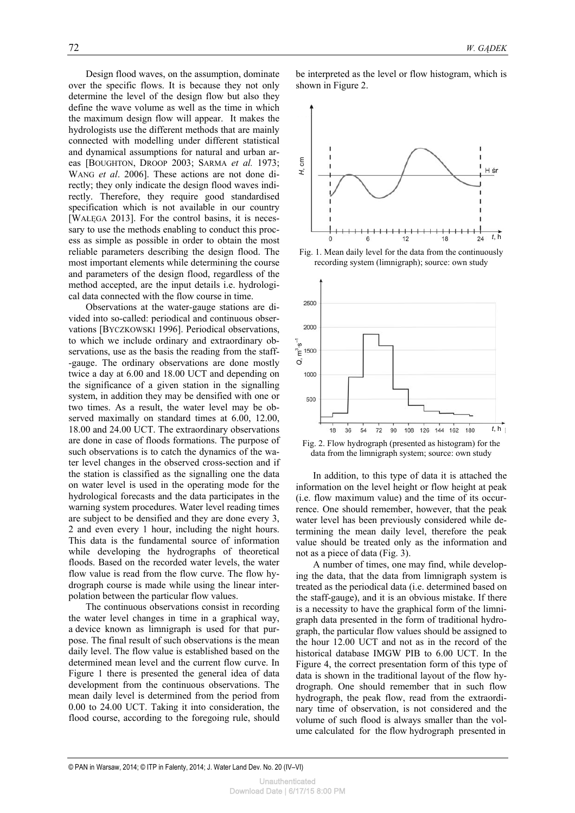Design flood waves, on the assumption, dominate over the specific flows. It is because they not only determine the level of the design flow but also they define the wave volume as well as the time in which the maximum design flow will appear. It makes the hydrologists use the different methods that are mainly connected with modelling under different statistical and dynamical assumptions for natural and urban areas [BOUGHTON, DROOP 2003; SARMA *et al.* 1973; WANG *et al*. 2006]. These actions are not done directly; they only indicate the design flood waves indirectly. Therefore, they require good standardised specification which is not available in our country [WAŁĘGA 2013]. For the control basins, it is necessary to use the methods enabling to conduct this process as simple as possible in order to obtain the most reliable parameters describing the design flood. The most important elements while determining the course and parameters of the design flood, regardless of the method accepted, are the input details i.e. hydrological data connected with the flow course in time.

Observations at the water-gauge stations are divided into so-called: periodical and continuous observations [BYCZKOWSKI 1996]. Periodical observations, to which we include ordinary and extraordinary observations, use as the basis the reading from the staff- -gauge. The ordinary observations are done mostly twice a day at 6.00 and 18.00 UCT and depending on the significance of a given station in the signalling system, in addition they may be densified with one or two times. As a result, the water level may be observed maximally on standard times at 6.00, 12.00, 18.00 and 24.00 UCT. The extraordinary observations are done in case of floods formations. The purpose of such observations is to catch the dynamics of the water level changes in the observed cross-section and if the station is classified as the signalling one the data on water level is used in the operating mode for the hydrological forecasts and the data participates in the warning system procedures. Water level reading times are subject to be densified and they are done every 3, 2 and even every 1 hour, including the night hours. This data is the fundamental source of information while developing the hydrographs of theoretical floods. Based on the recorded water levels, the water flow value is read from the flow curve. The flow hydrograph course is made while using the linear interpolation between the particular flow values.

The continuous observations consist in recording the water level changes in time in a graphical way, a device known as limnigraph is used for that purpose. The final result of such observations is the mean daily level. The flow value is established based on the determined mean level and the current flow curve. In Figure 1 there is presented the general idea of data development from the continuous observations. The mean daily level is determined from the period from 0.00 to 24.00 UCT. Taking it into consideration, the flood course, according to the foregoing rule, should be interpreted as the level or flow histogram, which is shown in Figure 2.



Fig. 1. Mean daily level for the data from the continuously recording system (limnigraph); source: own study



Fig. 2. Flow hydrograph (presented as histogram) for the data from the limnigraph system; source: own study

In addition, to this type of data it is attached the information on the level height or flow height at peak (i.e. flow maximum value) and the time of its occurrence. One should remember, however, that the peak water level has been previously considered while determining the mean daily level, therefore the peak value should be treated only as the information and not as a piece of data (Fig. 3).

A number of times, one may find, while developing the data, that the data from limnigraph system is treated as the periodical data (i.e. determined based on the staff-gauge), and it is an obvious mistake. If there is a necessity to have the graphical form of the limnigraph data presented in the form of traditional hydrograph, the particular flow values should be assigned to the hour 12.00 UCT and not as in the record of the historical database IMGW PIB to 6.00 UCT. In the Figure 4, the correct presentation form of this type of data is shown in the traditional layout of the flow hydrograph. One should remember that in such flow hydrograph, the peak flow, read from the extraordinary time of observation, is not considered and the volume of such flood is always smaller than the volume calculated for the flow hydrograph presented in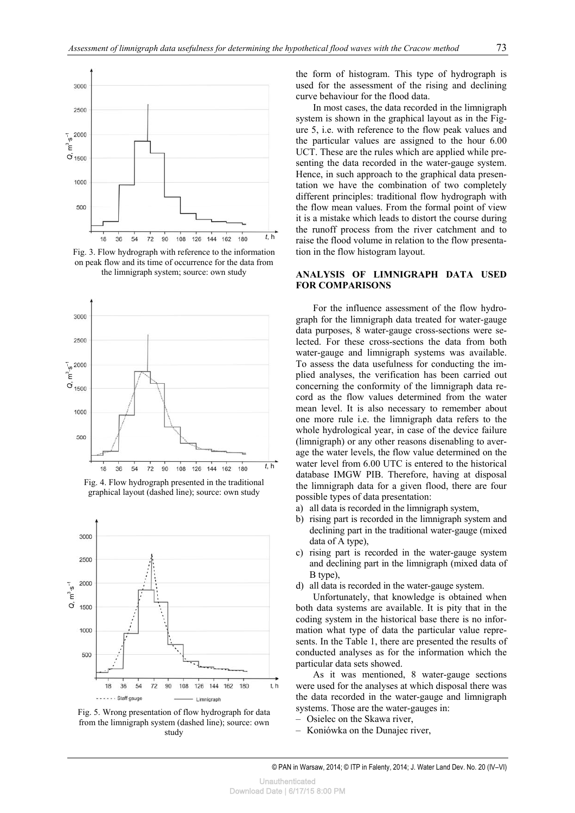

Fig. 3. Flow hydrograph with reference to the information on peak flow and its time of occurrence for the data from the limnigraph system; source: own study



Fig. 4. Flow hydrograph presented in the traditional graphical layout (dashed line); source: own study





the form of histogram. This type of hydrograph is used for the assessment of the rising and declining curve behaviour for the flood data.

In most cases, the data recorded in the limnigraph system is shown in the graphical layout as in the Figure 5, i.e. with reference to the flow peak values and the particular values are assigned to the hour 6.00 UCT. These are the rules which are applied while presenting the data recorded in the water-gauge system. Hence, in such approach to the graphical data presentation we have the combination of two completely different principles: traditional flow hydrograph with the flow mean values. From the formal point of view it is a mistake which leads to distort the course during the runoff process from the river catchment and to raise the flood volume in relation to the flow presentation in the flow histogram layout.

### **ANALYSIS OF LIMNIGRAPH DATA USED FOR COMPARISONS**

For the influence assessment of the flow hydrograph for the limnigraph data treated for water-gauge data purposes, 8 water-gauge cross-sections were selected. For these cross-sections the data from both water-gauge and limnigraph systems was available. To assess the data usefulness for conducting the implied analyses, the verification has been carried out concerning the conformity of the limnigraph data record as the flow values determined from the water mean level. It is also necessary to remember about one more rule i.e. the limnigraph data refers to the whole hydrological year, in case of the device failure (limnigraph) or any other reasons disenabling to average the water levels, the flow value determined on the water level from 6.00 UTC is entered to the historical database IMGW PIB. Therefore, having at disposal the limnigraph data for a given flood, there are four possible types of data presentation:

- a) all data is recorded in the limnigraph system,
- b) rising part is recorded in the limnigraph system and declining part in the traditional water-gauge (mixed data of A type),
- c) rising part is recorded in the water-gauge system and declining part in the limnigraph (mixed data of B type),
- d) all data is recorded in the water-gauge system.

Unfortunately, that knowledge is obtained when both data systems are available. It is pity that in the coding system in the historical base there is no information what type of data the particular value represents. In the Table 1, there are presented the results of conducted analyses as for the information which the particular data sets showed.

As it was mentioned, 8 water-gauge sections were used for the analyses at which disposal there was the data recorded in the water-gauge and limnigraph systems. Those are the water-gauges in:

- Osielec on the Skawa river,
- Koniówka on the Dunajec river,

© PAN in Warsaw, 2014; © ITP in Falenty, 2014; J. Water Land Dev. No. 20 (IV–VI)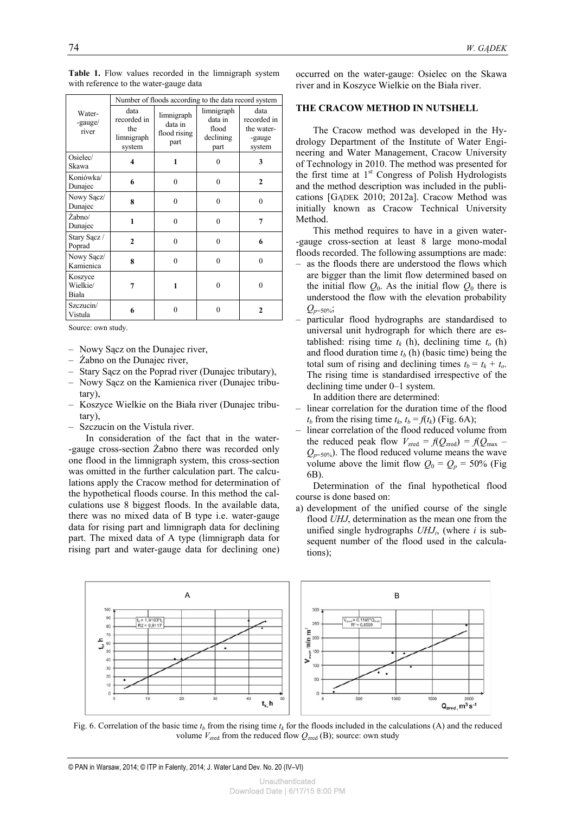|                              | Number of floods according to the data record system                                                |          |                                                     |                                                       |  |
|------------------------------|-----------------------------------------------------------------------------------------------------|----------|-----------------------------------------------------|-------------------------------------------------------|--|
| Water-<br>-gauge/<br>river   | data<br>limnigraph<br>recorded in<br>data in<br>the<br>flood rising<br>limnigraph<br>part<br>system |          | limnigraph<br>data in<br>flood<br>declining<br>part | data<br>recorded in<br>the water-<br>-gauge<br>system |  |
| Osielec/<br>Skawa            | 4                                                                                                   | 1        | 0                                                   | 3                                                     |  |
| Koniówka/<br>Dunajec         | 6                                                                                                   | $\theta$ | $\theta$                                            | $\mathbf{2}$                                          |  |
| Nowy Sacz/<br>Dunajec        | 8                                                                                                   | $\theta$ | $\theta$                                            | $\theta$                                              |  |
| Żabno/<br>Dunajec            | 1                                                                                                   | $\theta$ | $\theta$                                            | 7                                                     |  |
| Stary Sacz /<br>Poprad       | $\overline{2}$                                                                                      | $\theta$ | $\theta$                                            | 6                                                     |  |
| Nowy Sacz/<br>Kamienica      | 8                                                                                                   | $\theta$ | $\theta$                                            | $\theta$                                              |  |
| Koszyce<br>Wielkie/<br>Biała | 7                                                                                                   |          | 0                                                   | $\theta$                                              |  |
| Szczucin/<br>Vistula         | 6                                                                                                   | 0        | 0                                                   | $\mathbf{2}$                                          |  |

Table 1. Flow values recorded in the limnigraph system with reference to the water-gauge data

Source: own study.

- Nowy Sącz on the Dunajec river,
- Żabno on the Dunajec river,
- Stary Sącz on the Poprad river (Dunajec tributary),
- Nowy Sącz on the Kamienica river (Dunajec tributary),
- Koszyce Wielkie on the Biała river (Dunajec tributary),
- Szczucin on the Vistula river.

In consideration of the fact that in the water- -gauge cross-section Żabno there was recorded only one flood in the limnigraph system, this cross-section was omitted in the further calculation part. The calculations apply the Cracow method for determination of the hypothetical floods course. In this method the calculations use 8 biggest floods. In the available data, there was no mixed data of B type i.e. water-gauge data for rising part and limnigraph data for declining part. The mixed data of A type (limnigraph data for rising part and water-gauge data for declining one) occurred on the water-gauge: Osielec on the Skawa river and in Koszyce Wielkie on the Biała river.

#### **THE CRACOW METHOD IN NUTSHELL**

The Cracow method was developed in the Hydrology Department of the Institute of Water Engineering and Water Management, Cracow University of Technology in 2010. The method was presented for the first time at  $1<sup>st</sup>$  Congress of Polish Hydrologists and the method description was included in the publications [GADEK 2010; 2012a]. Cracow Method was initially known as Cracow Technical University Method.

This method requires to have in a given water- -gauge cross-section at least 8 large mono-modal floods recorded. The following assumptions are made:

- as the floods there are understood the flows which are bigger than the limit flow determined based on the initial flow  $Q_0$ . As the initial flow  $Q_0$  there is understood the flow with the elevation probability  $Q_{p=50\%};$
- particular flood hydrographs are standardised to universal unit hydrograph for which there are established: rising time  $t_k$  (h), declining time  $t_o$  (h) and flood duration time  $t_b$  (h) (basic time) being the total sum of rising and declining times  $t_b = t_k + t_o$ . The rising time is standardised irrespective of the declining time under 0–1 system.

In addition there are determined:

- linear correlation for the duration time of the flood  $t_b$  from the rising time  $t_k$ ,  $t_b = f(t_k)$  (Fig. 6A);
- linear correlation of the flood reduced volume from the reduced peak flow  $V_{\text{zred}} = f(Q_{\text{zred}}) = f(Q_{\text{max}} Q_{p=50\%}$ ). The flood reduced volume means the wave volume above the limit flow  $Q_0 = Q_p = 50\%$  (Fig. 6B).

Determination of the final hypothetical flood course is done based on:

a) development of the unified course of the single flood *UHJ*, determination as the mean one from the unified single hydrographs  $UHJ_i$ , (where *i* is subsequent number of the flood used in the calculations);



Fig. 6. Correlation of the basic time  $t_b$  from the rising time  $t_k$  for the floods included in the calculations (A) and the reduced volume  $V_{\text{zred}}$  from the reduced flow  $Q_{\text{zred}}$  (B); source: own study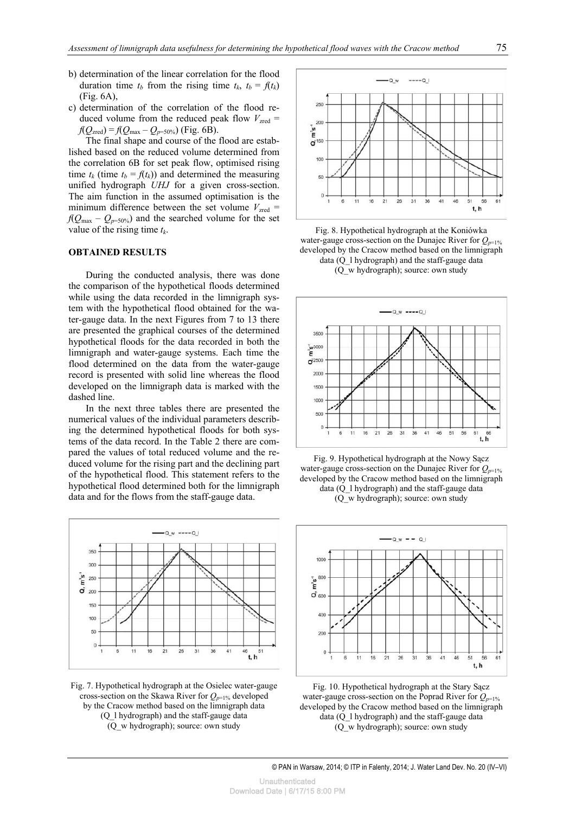- b) determination of the linear correlation for the flood duration time  $t_b$  from the rising time  $t_k$ ,  $t_b = f(t_k)$ (Fig. 6A),
- c) determination of the correlation of the flood reduced volume from the reduced peak flow  $V_{\text{zred}} =$  $f(Q_{\text{zred}}) = f(Q_{\text{max}} - Q_{p=50\%})$  (Fig. 6B).

The final shape and course of the flood are established based on the reduced volume determined from the correlation 6B for set peak flow, optimised rising time  $t_k$  (time  $t_b = f(t_k)$ ) and determined the measuring unified hydrograph *UHJ* for a given cross-section. The aim function in the assumed optimisation is the minimum difference between the set volume  $V_{\text{zred}} =$  $f(Q_{\text{max}} - Q_{p=50\%})$  and the searched volume for the set value of the rising time *tk*.

#### **OBTAINED RESULTS**

During the conducted analysis, there was done the comparison of the hypothetical floods determined while using the data recorded in the limnigraph system with the hypothetical flood obtained for the water-gauge data. In the next Figures from 7 to 13 there are presented the graphical courses of the determined hypothetical floods for the data recorded in both the limnigraph and water-gauge systems. Each time the flood determined on the data from the water-gauge record is presented with solid line whereas the flood developed on the limnigraph data is marked with the dashed line.

In the next three tables there are presented the numerical values of the individual parameters describing the determined hypothetical floods for both systems of the data record. In the Table 2 there are compared the values of total reduced volume and the reduced volume for the rising part and the declining part of the hypothetical flood. This statement refers to the hypothetical flood determined both for the limnigraph data and for the flows from the staff-gauge data.



Fig. 7. Hypothetical hydrograph at the Osielec water-gauge cross-section on the Skawa River for  $Q_{p=1\%}$  developed by the Cracow method based on the limnigraph data (Q\_l hydrograph) and the staff-gauge data (Q\_w hydrograph); source: own study



Fig. 8. Hypothetical hydrograph at the Koniówka water-gauge cross-section on the Dunajec River for  $Q_{p=1\%}$ developed by the Cracow method based on the limnigraph data (Q\_l hydrograph) and the staff-gauge data (Q\_w hydrograph); source: own study







Fig. 10. Hypothetical hydrograph at the Stary Sącz water-gauge cross-section on the Poprad River for  $Q_{p=1\%}$ developed by the Cracow method based on the limnigraph data (Q\_l hydrograph) and the staff-gauge data (Q\_w hydrograph); source: own study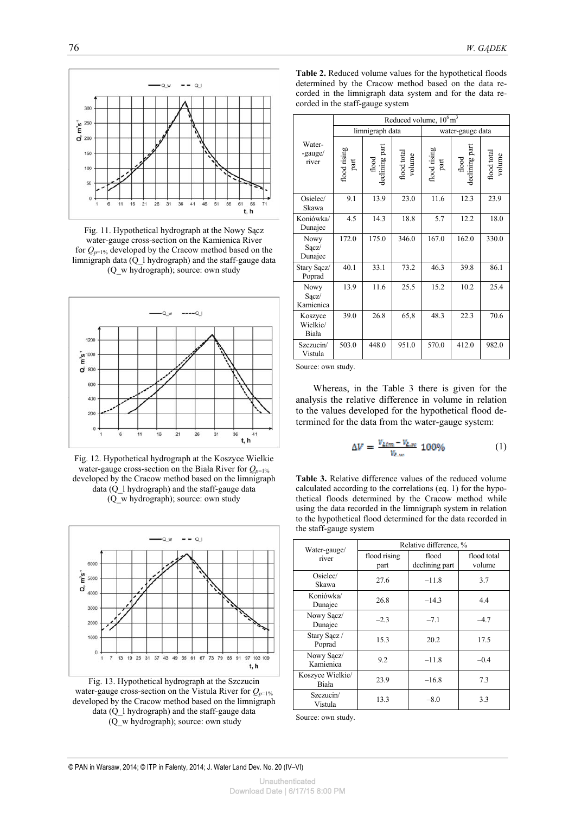

Fig. 11. Hypothetical hydrograph at the Nowy Sącz water-gauge cross-section on the Kamienica River for  $Q_{p=1\%}$  developed by the Cracow method based on the limnigraph data  $(Q_1)$  hydrograph) and the staff-gauge data (Q\_w hydrograph); source: own study



Fig. 12. Hypothetical hydrograph at the Koszyce Wielkie water-gauge cross-section on the Biała River for  $Q_{p=1\%}$ developed by the Cracow method based on the limnigraph data (Q\_l hydrograph) and the staff-gauge data (Q\_w hydrograph); source: own study



Fig. 13. Hypothetical hydrograph at the Szczucin water-gauge cross-section on the Vistula River for  $Q_{p=1\%}$ developed by the Cracow method based on the limnigraph data (Q\_l hydrograph) and the staff-gauge data (Q\_w hydrograph); source: own study

**Table 2.** Reduced volume values for the hypothetical floods determined by the Cracow method based on the data recorded in the limnigraph data system and for the data recorded in the staff-gauge system

|                                 | Reduced volume, $10^6 \text{ m}^3$ |                         |                       |                      |                         |                       |  |
|---------------------------------|------------------------------------|-------------------------|-----------------------|----------------------|-------------------------|-----------------------|--|
|                                 |                                    | limnigraph data         |                       | water-gauge data     |                         |                       |  |
| Water-<br>-gauge/<br>river      | lood rising<br>part                | flood<br>declining part | flood total<br>volume | flood rising<br>part | flood<br>declining part | flood total<br>volume |  |
| Osielec/<br>Skawa               | 9.1                                | 13.9                    | 23.0                  | 11.6                 | 12.3                    | 23.9                  |  |
| Koniówka/<br>Dunajec            | 4.5                                | 14.3                    | 18.8                  | 5.7                  | 12.2                    | 18.0                  |  |
| <b>Nowy</b><br>Sącz/<br>Dunajec | 172.0                              | 175.0                   | 346.0                 | 167.0                | 162.0                   | 330.0                 |  |
| Stary Sącz/<br>Poprad           | 40.1                               | 33.1                    | 73.2                  | 46.3                 | 39.8                    | 86.1                  |  |
| Nowy<br>Sącz/<br>Kamienica      | 13.9                               | 11.6                    | 25.5                  | 15.2                 | 10.2                    | 25.4                  |  |
| Koszyce<br>Wielkie/<br>Biała    | 39.0                               | 26.8                    | 65,8                  | 48.3                 | 22.3                    | 70.6                  |  |
| Szczucin/<br>Vistula            | 503.0                              | 448.0                   | 951.0                 | 570.0                | 412.0                   | 982.0                 |  |

Source: own study.

Whereas, in the Table 3 there is given for the analysis the relative difference in volume in relation to the values developed for the hypothetical flood determined for the data from the water-gauge system:

$$
\Delta V = \frac{V_{L\ell m} - V_{L,w}}{V_{L,w}} 100\% \tag{1}
$$

**Table 3.** Relative difference values of the reduced volume calculated according to the correlations (eq. 1) for the hypothetical floods determined by the Cracow method while using the data recorded in the limnigraph system in relation to the hypothetical flood determined for the data recorded in the staff-gauge system

| Water-gauge/                             | Relative difference, % |                         |                       |  |
|------------------------------------------|------------------------|-------------------------|-----------------------|--|
| river                                    | flood rising<br>part   | flood<br>declining part | flood total<br>volume |  |
| Osielec/<br>Skawa                        | 27.6                   | $-11.8$                 | 3.7                   |  |
| Koniówka/<br>Dunajec                     | 26.8                   | $-14.3$                 | 4.4                   |  |
| Nowy Sacz/<br>Dunajec                    | $-2.3$                 | $-7.1$                  | $-4.7$                |  |
| Stary Sacz /<br>Poprad                   | 15.3                   |                         | 17.5                  |  |
| Nowy Sacz/<br>Kamienica                  | 9.2                    |                         | $-0.4$                |  |
| Koszyce Wielkie/<br>23.9<br><b>Biała</b> |                        | $-16.8$                 | 7.3                   |  |
| Szczucin/<br>Vistula                     | 13.3                   | $-8.0$                  | 3.3                   |  |

Source: own study.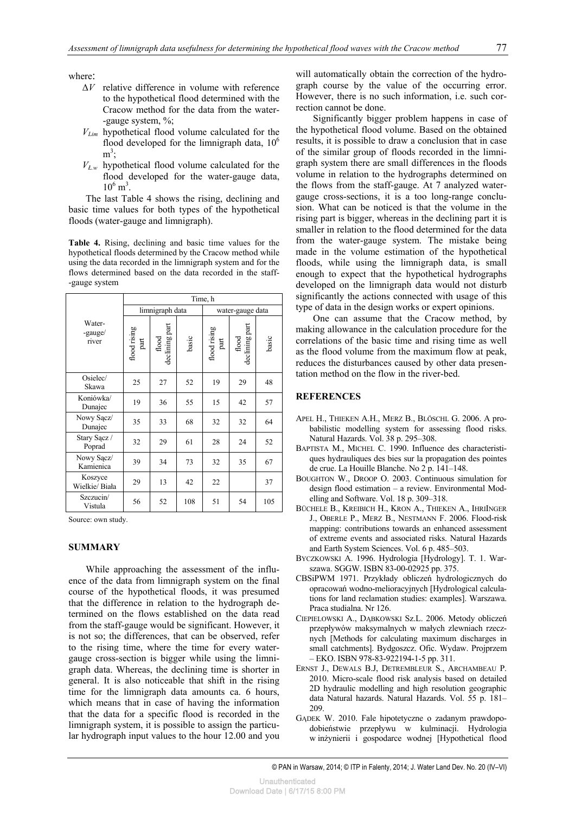where:

- Δ*V* relative difference in volume with reference to the hypothetical flood determined with the Cracow method for the data from the water- -gauge system, %;
- *VLim* hypothetical flood volume calculated for the flood developed for the limnigraph data,  $10<sup>6</sup>$  $m^3$ ;
- *VŁ.w* hypothetical flood volume calculated for the flood developed for the water-gauge data,  $10^6 \text{ m}^3$ .

The last Table 4 shows the rising, declining and basic time values for both types of the hypothetical floods (water-gauge and limnigraph).

**Table 4.** Rising, declining and basic time values for the hypothetical floods determined by the Cracow method while using the data recorded in the limnigraph system and for the flows determined based on the data recorded in the staff- -gauge system

|                            | Time, h                                                                                                                                                                                                                                                                                                                                                                                                                                                                                                                                                                                                                   |                         |       |                      |                         |       |
|----------------------------|---------------------------------------------------------------------------------------------------------------------------------------------------------------------------------------------------------------------------------------------------------------------------------------------------------------------------------------------------------------------------------------------------------------------------------------------------------------------------------------------------------------------------------------------------------------------------------------------------------------------------|-------------------------|-------|----------------------|-------------------------|-------|
|                            | limnigraph data                                                                                                                                                                                                                                                                                                                                                                                                                                                                                                                                                                                                           |                         |       | water-gauge data     |                         |       |
| Water-<br>-gauge/<br>river | flood rising<br>$\operatorname*{part}% \left( X\right) \equiv\operatorname*{part}% \left( X\right) \equiv\operatorname*{part}% \left( X\right) \equiv\operatorname*{part}% \left( X\right) \equiv\operatorname*{supp}\left( X\right) \equiv\operatorname*{supp}\left( X\right) \equiv\operatorname*{supp}\left( X\right) \equiv\operatorname*{supp}\left( X\right) \equiv\operatorname*{supp}\left( X\right) \equiv\operatorname*{supp}\left( X\right) \equiv\operatorname*{supp}\left( X\right) \equiv\operatorname*{supp}\left( X\right) \equiv\operatorname*{supp}\left( X\right) \equiv\operatorname*{supp}\left( X\$ | flood<br>declining part | basic | flood rising<br>part | flood<br>declining part | basic |
| Osielec/<br>Skawa          | 25                                                                                                                                                                                                                                                                                                                                                                                                                                                                                                                                                                                                                        | 27                      | 52    | 19                   | 29                      | 48    |
| Koniówka/<br>Dunajec       | 19                                                                                                                                                                                                                                                                                                                                                                                                                                                                                                                                                                                                                        | 36                      | 55    | 15                   | 42                      | 57    |
| Nowy Sącz/<br>Dunajec      | 35                                                                                                                                                                                                                                                                                                                                                                                                                                                                                                                                                                                                                        | 33                      | 68    | 32                   | 32                      | 64    |
| Stary Sącz /<br>Poprad     | 32                                                                                                                                                                                                                                                                                                                                                                                                                                                                                                                                                                                                                        | 29                      | 61    | 28                   | 24                      | 52    |
| Nowy Sącz/<br>Kamienica    | 39                                                                                                                                                                                                                                                                                                                                                                                                                                                                                                                                                                                                                        | 34                      | 73    | 32                   | 35                      | 67    |
| Koszyce<br>Wielkie/ Biała  | 29                                                                                                                                                                                                                                                                                                                                                                                                                                                                                                                                                                                                                        | 13                      | 42    | 22                   |                         | 37    |
| Szczucin/<br>Vistula       | 56                                                                                                                                                                                                                                                                                                                                                                                                                                                                                                                                                                                                                        | 52                      | 108   | 51                   | 54                      | 105   |

Source: own study.

#### **SUMMARY**

While approaching the assessment of the influence of the data from limnigraph system on the final course of the hypothetical floods, it was presumed that the difference in relation to the hydrograph determined on the flows established on the data read from the staff-gauge would be significant. However, it is not so; the differences, that can be observed, refer to the rising time, where the time for every watergauge cross-section is bigger while using the limnigraph data. Whereas, the declining time is shorter in general. It is also noticeable that shift in the rising time for the limnigraph data amounts ca. 6 hours, which means that in case of having the information that the data for a specific flood is recorded in the limnigraph system, it is possible to assign the particular hydrograph input values to the hour 12.00 and you

will automatically obtain the correction of the hydrograph course by the value of the occurring error. However, there is no such information, i.e. such correction cannot be done.

Significantly bigger problem happens in case of the hypothetical flood volume. Based on the obtained results, it is possible to draw a conclusion that in case of the similar group of floods recorded in the limnigraph system there are small differences in the floods volume in relation to the hydrographs determined on the flows from the staff-gauge. At 7 analyzed watergauge cross-sections, it is a too long-range conclusion. What can be noticed is that the volume in the rising part is bigger, whereas in the declining part it is smaller in relation to the flood determined for the data from the water-gauge system. The mistake being made in the volume estimation of the hypothetical floods, while using the limnigraph data, is small enough to expect that the hypothetical hydrographs developed on the limnigraph data would not disturb significantly the actions connected with usage of this type of data in the design works or expert opinions.

One can assume that the Cracow method, by making allowance in the calculation procedure for the correlations of the basic time and rising time as well as the flood volume from the maximum flow at peak, reduces the disturbances caused by other data presentation method on the flow in the river-bed.

## **REFERENCES**

- APEL H., THIEKEN A.H., MERZ B., BLÖSCHL G. 2006. A probabilistic modelling system for assessing flood risks. Natural Hazards. Vol. 38 p. 295–308.
- BAPTISTA M., MICHEL C. 1990. Influence des characteristiques hydrauliques des bies sur la propagation des pointes de crue. La Houille Blanche. No 2 p. 141–148.
- BOUGHTON W., DROOP O. 2003. Continuous simulation for design flood estimation – a review. Environmental Modelling and Software. Vol. 18 p. 309–318.
- BÜCHELE B., KREIBICH H., KRON A., THIEKEN A., IHRIINGER J., OBERLE P., MERZ B., NESTMANN F. 2006. Flood-risk mapping: contributions towards an enhanced assessment of extreme events and associated risks. Natural Hazards and Earth System Sciences. Vol. 6 p. 485–503.
- BYCZKOWSKI A. 1996. Hydrologia [Hydrology]. T. 1. Warszawa. SGGW. ISBN 83-00-02925 pp. 375.
- CBSiPWM 1971. Przykłady obliczeń hydrologicznych do opracowań wodno-melioracyjnych [Hydrological calculations for land reclamation studies: examples]. Warszawa. Praca studialna. Nr 126.
- CIEPIELOWSKI A., DĄBKOWSKI Sz.L. 2006. Metody obliczeń przepływów maksymalnych w małych zlewniach rzecznych [Methods for calculating maximum discharges in small catchments]. Bydgoszcz. Ofic. Wydaw. Projprzem – EKO. ISBN 978-83-922194-1-5 pp. 311.
- ERNST J., DEWALS B.J, DETREMBLEUR S., ARCHAMBEAU P. 2010. Micro-scale flood risk analysis based on detailed 2D hydraulic modelling and high resolution geographic data Natural hazards. Natural Hazards. Vol. 55 p. 181– 209.
- GĄDEK W. 2010. Fale hipotetyczne o zadanym prawdopodobieństwie przepływu w kulminacji. Hydrologia w inżynierii i gospodarce wodnej [Hypothetical flood

© PAN in Warsaw, 2014; © ITP in Falenty, 2014; J. Water Land Dev. No. 20 (IV–VI)